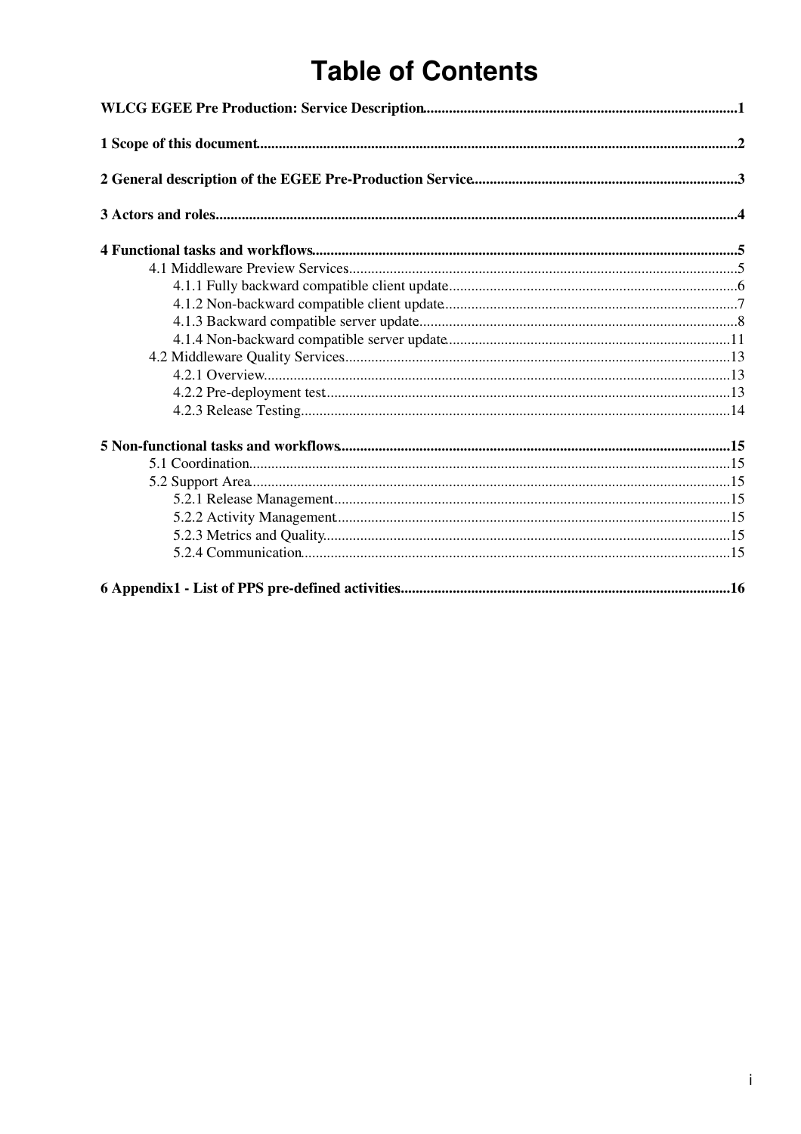# **Table of Contents**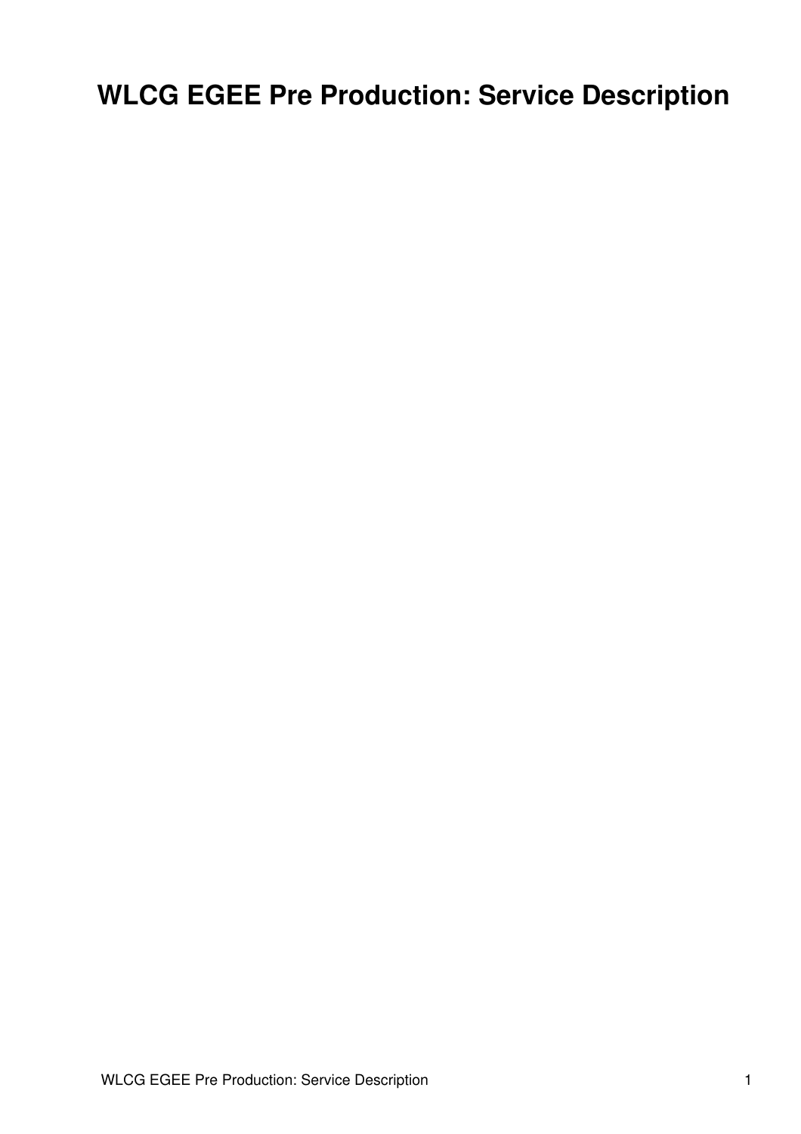# <span id="page-1-0"></span>**WLCG EGEE Pre Production: Service Description**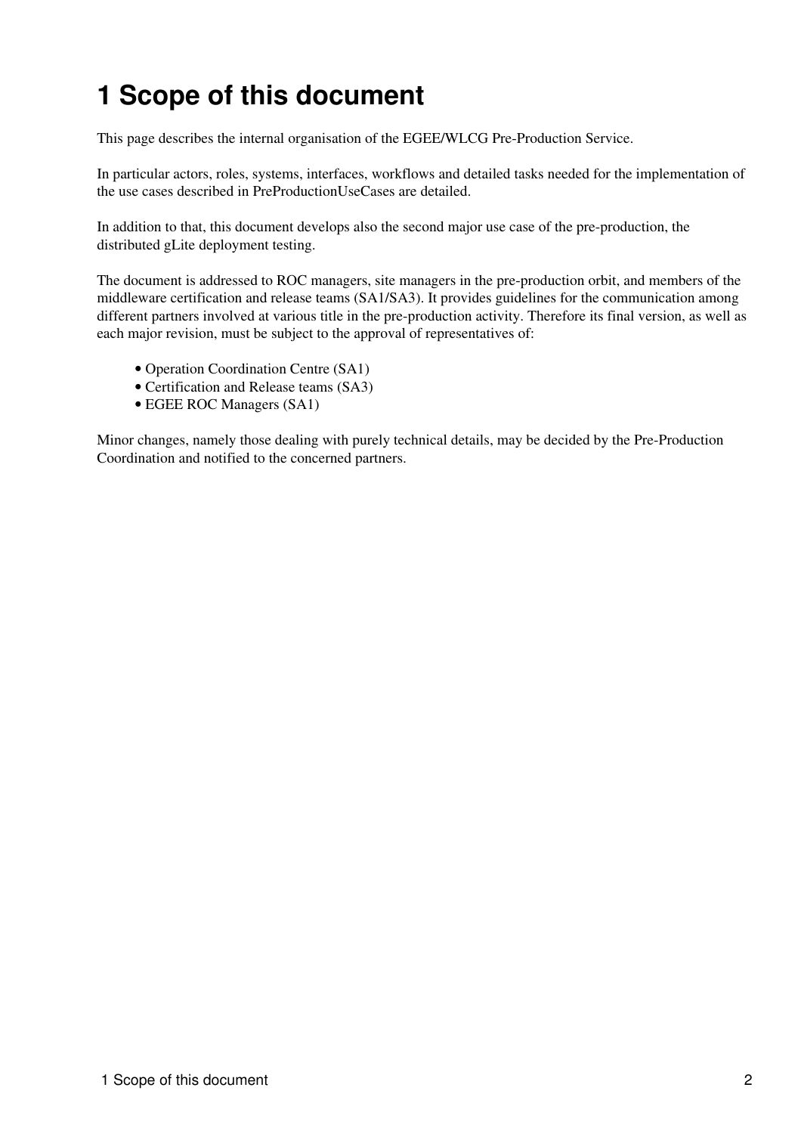# <span id="page-2-0"></span>**1 Scope of this document**

This page describes the internal organisation of the EGEE/WLCG Pre-Production Service.

In particular actors, roles, systems, interfaces, workflows and detailed tasks needed for the implementation of the use cases described in [PreProductionUseCases](https://twiki.cern.ch/twiki/bin/view/LCG/PreProductionUseCases) are detailed.

In addition to that, this document develops also the second major use case of the pre-production, the distributed gLite deployment testing.

The document is addressed to ROC managers, site managers in the pre-production orbit, and members of the middleware certification and release teams (SA1/SA3). It provides guidelines for the communication among different partners involved at various title in the pre-production activity. Therefore its final version, as well as each major revision, must be subject to the approval of representatives of:

- Operation Coordination Centre (SA1)
- Certification and Release teams (SA3)
- EGEE ROC Managers (SA1)

Minor changes, namely those dealing with purely technical details, may be decided by the Pre-Production Coordination and notified to the concerned partners.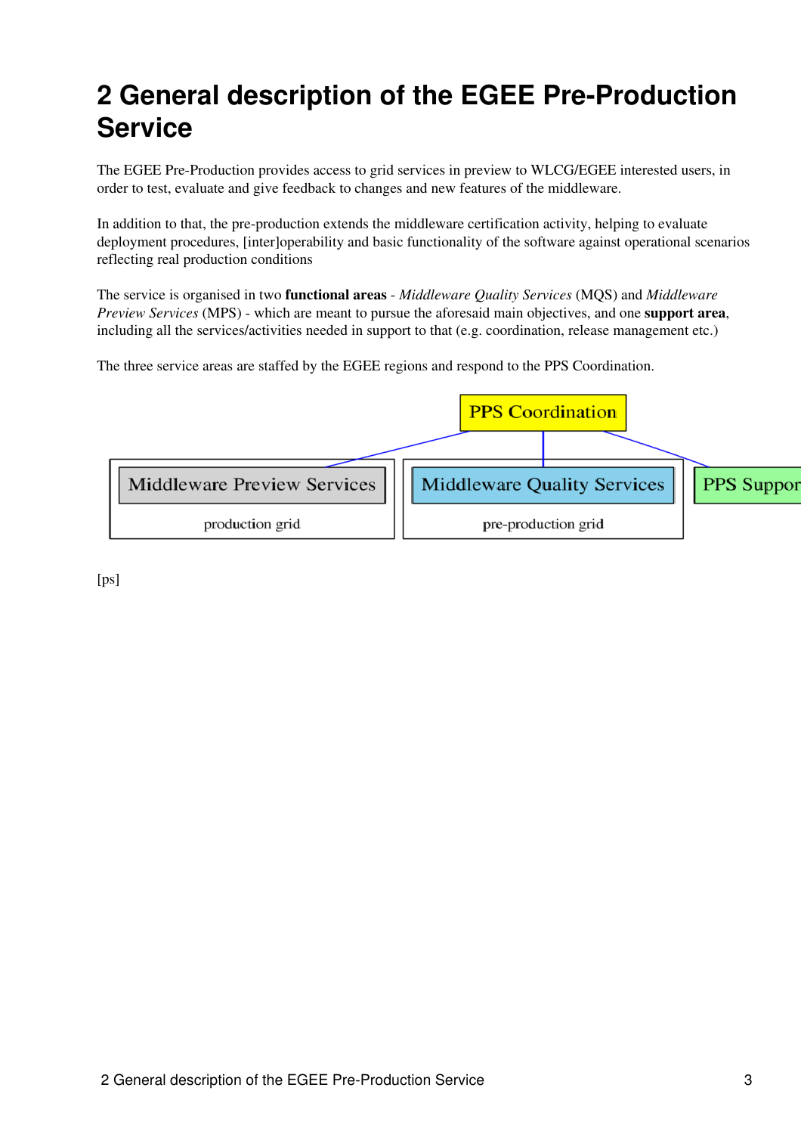## <span id="page-3-0"></span>**2 General description of the EGEE Pre-Production Service**

The EGEE Pre-Production provides access to grid services in preview to WLCG/EGEE interested users, in order to test, evaluate and give feedback to changes and new features of the middleware.

In addition to that, the pre-production extends the middleware certification activity, helping to evaluate deployment procedures, [inter]operability and basic functionality of the software against operational scenarios reflecting real production conditions

The service is organised in two **functional areas** - *Middleware Quality Services* (MQS) and *Middleware Preview Services* (MPS) - which are meant to pursue the aforesaid main objectives, and one **support area**, including all the services/activities needed in support to that (e.g. coordination, release management etc.)

The three service areas are staffed by the EGEE regions and respond to the PPS Coordination.



[ps]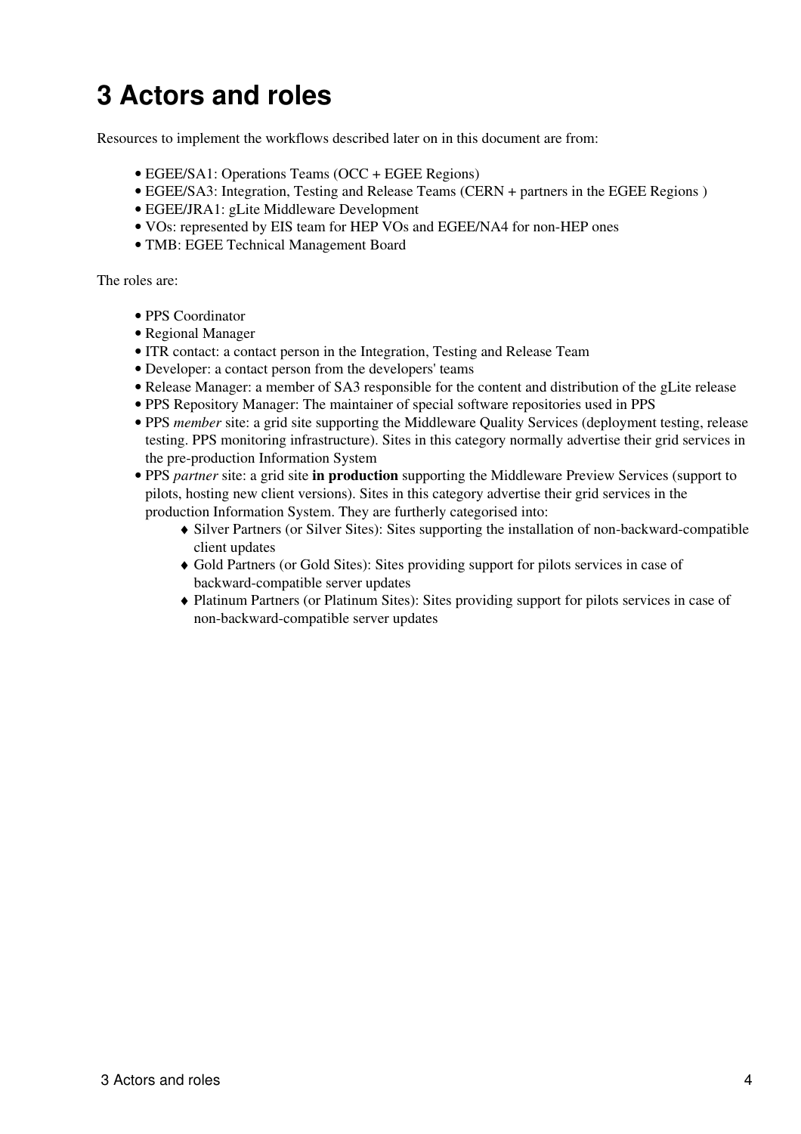## <span id="page-4-0"></span>**3 Actors and roles**

Resources to implement the workflows described later on in this document are from:

- EGEE/SA1: Operations Teams (OCC + EGEE Regions)
- EGEE/SA3: Integration, Testing and Release Teams (CERN + partners in the EGEE Regions )
- EGEE/JRA1: gLite Middleware Development
- VOs: represented by EIS team for HEP VOs and EGEE/NA4 for non-HEP ones
- TMB: EGEE Technical Management Board

The roles are:

- PPS Coordinator
- Regional Manager
- ITR contact: a contact person in the Integration, Testing and Release Team
- Developer: a contact person from the developers' teams
- Release Manager: a member of SA3 responsible for the content and distribution of the gLite release
- PPS Repository Manager: The maintainer of special software repositories used in PPS
- PPS *member* site: a grid site supporting the Middleware Quality Services (deployment testing, release testing. PPS monitoring infrastructure). Sites in this category normally advertise their grid services in the pre-production Information System
- PPS *partner* site: a grid site **in production** supporting the Middleware Preview Services (support to pilots, hosting new client versions). Sites in this category advertise their grid services in the production Information System. They are furtherly categorised into:
	- Silver Partners (or Silver Sites): Sites supporting the installation of non-backward-compatible ♦ client updates
	- Gold Partners (or Gold Sites): Sites providing support for pilots services in case of ♦ backward-compatible server updates
	- Platinum Partners (or Platinum Sites): Sites providing support for pilots services in case of ♦ non-backward-compatible server updates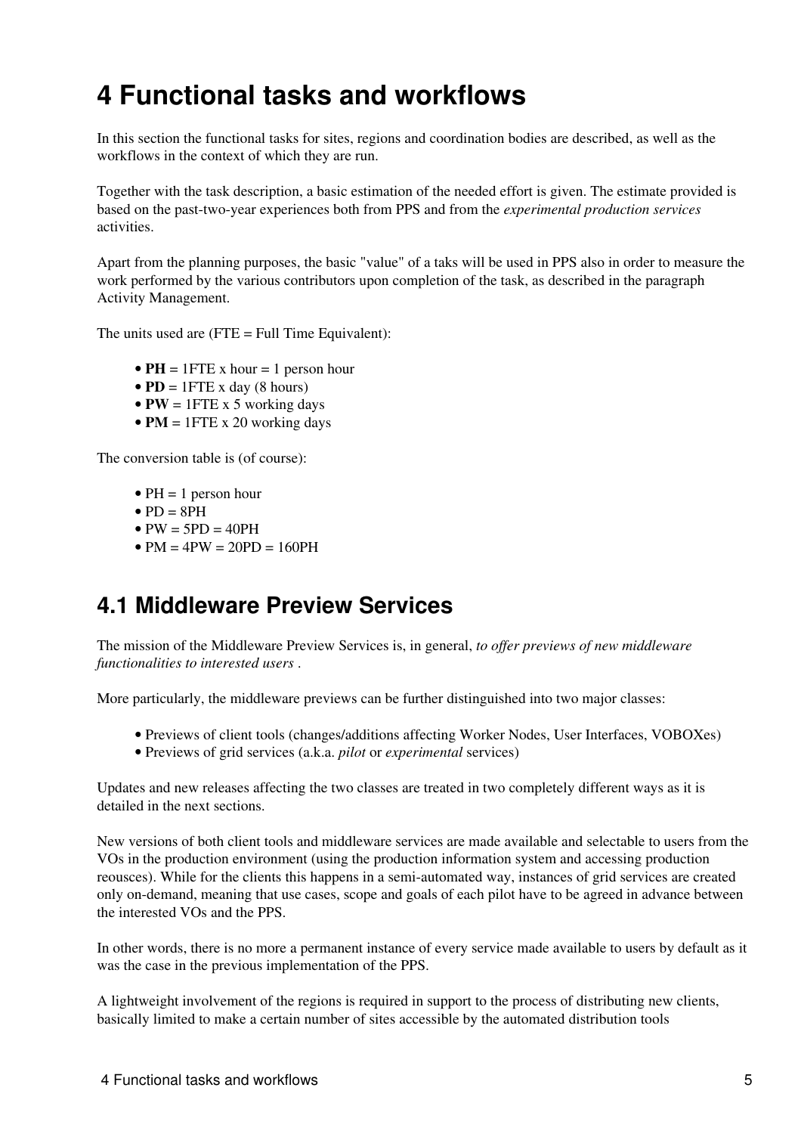## <span id="page-5-0"></span>**4 Functional tasks and workflows**

In this section the functional tasks for sites, regions and coordination bodies are described, as well as the workflows in the context of which they are run.

Together with the task description, a basic estimation of the needed effort is given. The estimate provided is based on the past-two-year experiences both from PPS and from the *experimental production services* activities.

Apart from the planning purposes, the basic "value" of a taks will be used in PPS also in order to measure the work performed by the various contributors upon completion of the task, as described in the paragraph Activity Management.

The units used are  $(FTE = Full Time Equivalent):$ 

- $PH = 1$  FTE x hour = 1 person hour
- $PD = 1$  FTE x day (8 hours)
- $PW = 1$  FTE x 5 working days
- $PM = 1$  FTE x 20 working days

The conversion table is (of course):

- $PH = 1$  person hour
- $\bullet$  PD  $=$  8PH
- $\bullet$  PW = 5PD = 40PH
- $PM = 4PW = 20PD = 160PH$

### <span id="page-5-1"></span>**4.1 Middleware Preview Services**

The mission of the Middleware Preview Services is, in general, *to offer previews of new middleware functionalities to interested users* .

More particularly, the middleware previews can be further distinguished into two major classes:

- Previews of client tools (changes/additions affecting Worker Nodes, User Interfaces, VOBOXes)
- Previews of grid services (a.k.a. *pilot* or *experimental* services)

Updates and new releases affecting the two classes are treated in two completely different ways as it is detailed in the next sections.

New versions of both client tools and middleware services are made available and selectable to users from the VOs in the production environment (using the production information system and accessing production reousces). While for the clients this happens in a semi-automated way, instances of grid services are created only on-demand, meaning that use cases, scope and goals of each pilot have to be agreed in advance between the interested VOs and the PPS.

In other words, there is no more a permanent instance of every service made available to users by default as it was the case in the previous implementation of the PPS.

A lightweight involvement of the regions is required in support to the process of distributing new clients, basically limited to make a certain number of sites accessible by the automated distribution tools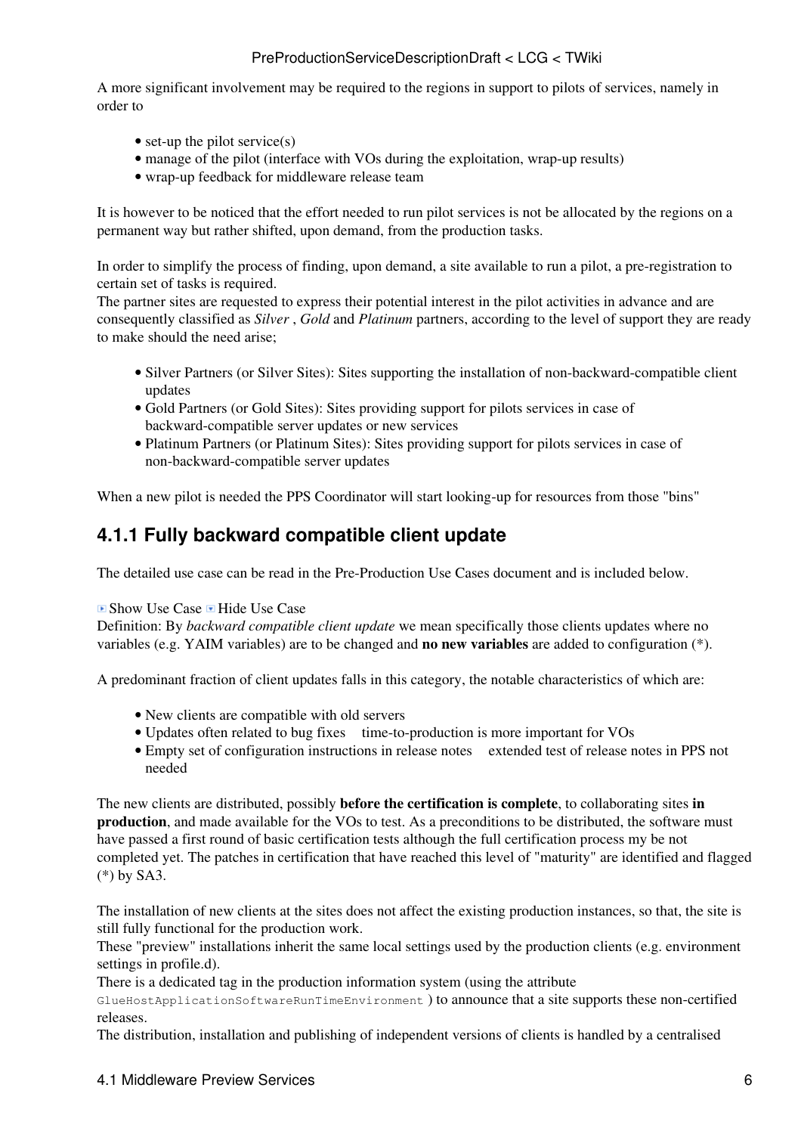A more significant involvement may be required to the regions in support to pilots of services, namely in order to

- set-up the pilot service $(s)$
- manage of the pilot (interface with VOs during the exploitation, wrap-up results)
- wrap-up feedback for middleware release team

It is however to be noticed that the effort needed to run pilot services is not be allocated by the regions on a permanent way but rather shifted, upon demand, from the production tasks.

In order to simplify the process of finding, upon demand, a site available to run a pilot, a pre-registration to certain set of tasks is required.

The partner sites are requested to express their potential interest in the pilot activities in advance and are consequently classified as *Silver* , *Gold* and *Platinum* partners, according to the level of support they are ready to make should the need arise;

- Silver Partners (or Silver Sites): Sites supporting the installation of non-backward-compatible client updates
- Gold Partners (or Gold Sites): Sites providing support for pilots services in case of backward-compatible server updates or new services
- Platinum Partners (or Platinum Sites): Sites providing support for pilots services in case of non-backward-compatible server updates

When a new pilot is needed the PPS Coordinator will start looking-up for resources from those "bins"

### <span id="page-6-0"></span>**4.1.1 Fully backward compatible client update**

The detailed use case can be read in the [Pre-Production Use Cases](https://twiki.cern.ch/twiki/bin/view/LCG/PreProductionUseCases) document and is included below.

#### $\blacksquare$  Show Use Case  $\blacksquare$  Hide Use Case

Definition: By *backward compatible client update* we mean specifically those clients updates where no variables (e.g. YAIM variables) are to be changed and **no new variables** are added to configuration [\(\\*\).](https://twiki.cern.ch/twiki/bin/view/LCG/PreProductionUseCasesNotes#NoNewVariables)

A predominant fraction of client updates falls in this category, the notable characteristics of which are:

- New clients are compatible with old servers
- Updates often related to bug fixes ime-to-production is more important for VOs
- Empty set of configuration instructions in release notes extended test of release notes in PPS not needed

The new clients are distributed, possibly **before the certification is complete**, to collaborating sites **in production**, and made available for the VOs to test. As a preconditions to be distributed, the software must have passed a first round of basic certification tests although the full certification process my be not completed yet. The patches in certification that have reached this level of "maturity" are identified and flagged [\(\\*\)](https://twiki.cern.ch/twiki/bin/view/LCG/PreProductionUseCasesNotes#FlaggedPatches) by SA3.

The installation of new clients at the sites does not affect the existing production instances, so that, the site is still fully functional for the production work.

These "preview" installations inherit the same local settings used by the production clients (e.g. environment settings in profile.d).

There is a dedicated tag in the production information system (using the attribute

GlueHostApplicationSoftwareRunTimeEnvironment ) to announce that a site supports these non-certified releases.

The distribution, installation and publishing of independent versions of clients is handled by a [centralised](https://twiki.cern.ch/twiki/bin/view/LCG/WnTarOnSiteUsage)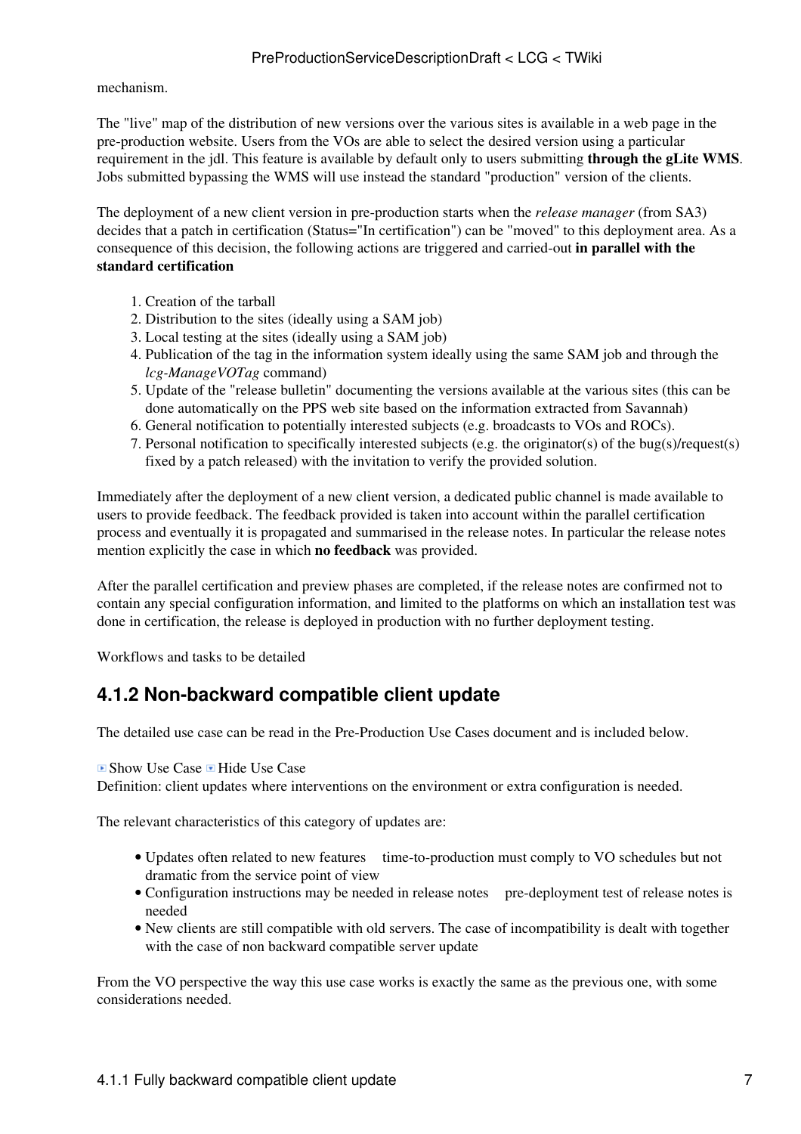[mechanism](https://twiki.cern.ch/twiki/bin/view/LCG/WnTarOnSiteUsage).

The "live" map of the distribution of new versions over the various sites is available in a web page in the pre-production website. Users from the VOs are able to select the desired version using a particular requirement in the jdl. This feature is available by default only to users submitting **through the gLite WMS**. Jobs submitted bypassing the WMS will use instead the standard "production" version of the clients.

The deployment of a new client version in pre-production starts when the *release manager* (from SA3) decides that a patch in certification (Status="In certification") can be "moved" to this deployment area. As a consequence of this decision, the following actions are triggered and carried-out **in parallel with the standard certification**

- 1. Creation of the tarball
- 2. Distribution to the sites (ideally using a SAM job)
- 3. Local testing at the sites (ideally using a SAM job)
- 4. Publication of the tag in the information system ideally using the same SAM job and through the *lcg-ManageVOTag* command)
- 5. Update of the "release bulletin" documenting the versions available at the various sites (this can be done automatically on the PPS web site based on the information extracted from Savannah)
- 6. General notification to potentially interested subjects (e.g. broadcasts to VOs and ROCs).
- Personal notification to specifically interested subjects (e.g. the originator(s) of the bug(s)/request(s) 7. fixed by a patch released) with the invitation to verify the provided solution.

Immediately after the deployment of a new client version, a dedicated public channel is made available to users to provide feedback. The feedback provided is taken into account within the parallel certification process and eventually it is propagated and summarised in the release notes. In particular the release notes mention explicitly the case in which **no feedback** was provided.

After the parallel certification and preview phases are completed, if the release notes are confirmed not to contain any special configuration information, and limited to the platforms on which an installation test was done in certification, the release is deployed in production with no further deployment testing.

Workflows and tasks to be detailed

### <span id="page-7-0"></span>**4.1.2 Non-backward compatible client update**

The detailed use case can be read in the [Pre-Production Use Cases](https://twiki.cern.ch/twiki/bin/view/LCG/PreProductionUseCases) document and is included below.

#### ■ Show Use Case ■ Hide Use Case

Definition: client updates where interventions on the environment or extra configuration is needed.

The relevant characteristics of this category of updates are:

- Updates often related to new features ime-to-production must comply to VO schedules but not dramatic from the service point of view
- Configuration instructions may be needed in release notes pre-deployment test of release notes is needed
- New clients are still compatible with old servers. The case of incompatibility is dealt with together with the case of [non backward compatible server update](https://twiki.cern.ch/twiki/bin/edit/LCG/NBCServer?topicparent=LCG.PreProductionServiceDescriptionDraft;nowysiwyg=1)

From the VO perspective the way this use case works is exactly the same as the previous one, with some considerations needed.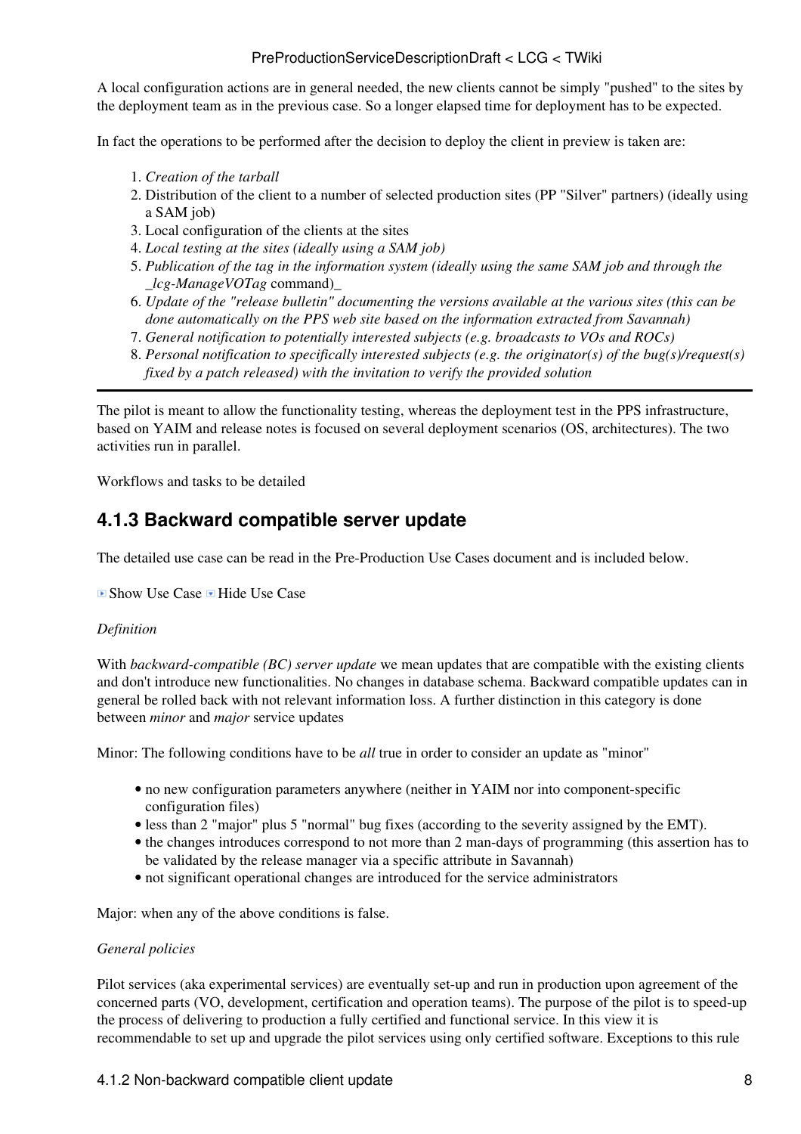A local configuration actions are in general needed, the new clients cannot be simply "pushed" to the sites by the deployment team as in the previous case. So a longer elapsed time for deployment has to be expected.

In fact the operations to be performed after the decision to deploy the client in preview is taken are:

- 1. *Creation of the tarball*
- 2. Distribution of the client to a number of selected production sites ([PP "Silver" partners](https://twiki.cern.ch/twiki/bin/view/LCG/PreProductionUseCasesNotes#PPSilverPartners)) (ideally using a SAM job)
- 3. Local configuration of the clients at the sites
- 4. *Local testing at the sites (ideally using a SAM job)*
- *Publication of the tag in the information system (ideally using the same SAM job and through the* 5. *\_lcg-ManageVOTag* command)\_
- *Update of the "release bulletin" documenting the versions available at the various sites (this can be* 6. *done automatically on the PPS web site based on the information extracted from Savannah)*
- 7. *General notification to potentially interested subjects (e.g. broadcasts to VOs and ROCs)*
- *Personal notification to specifically interested subjects (e.g. the originator(s) of the bug(s)/request(s)* 8. *fixed by a patch released) with the invitation to verify the provided solution*

The pilot is meant to allow the functionality testing, whereas the deployment test in the PPS infrastructure, based on YAIM and release notes is focused on several deployment scenarios (OS, architectures). The two activities run in parallel.

Workflows and tasks to be detailed

### <span id="page-8-0"></span>**4.1.3 Backward compatible server update**

The detailed use case can be read in the [Pre-Production Use Cases](https://twiki.cern.ch/twiki/bin/view/LCG/PreProductionUseCases) document and is included below.

■ Show Use Case ■ Hide Use Case

#### *Definition*

With *backward-compatible (BC) server update* we mean updates that are compatible with the existing clients and don't introduce new functionalities. No changes in database schema. Backward compatible updates can in general be rolled back with not relevant information loss. A further distinction in this category is done between *minor* and *major* service updates

Minor: The following conditions have to be *all* true in order to consider an update as "minor"

- no new configuration parameters anywhere (neither in YAIM nor into component-specific configuration files)
- less than 2 "major" plus 5 "normal" bug fixes (according to the severity assigned by the EMT).
- the changes introduces correspond to not more than 2 man-days of programming (this assertion has to be validated by the release manager via a specific attribute in Savannah)
- not significant operational changes are introduced for the service administrators

Major: when any of the above conditions is false.

#### *General policies*

Pilot services (aka experimental services) are eventually set-up and run in production upon agreement of the concerned parts (VO, development, certification and operation teams). The purpose of the pilot is to speed-up the process of delivering to production a fully certified and functional service. In this view it is recommendable to set up and upgrade the pilot services using only certified software. Exceptions to this rule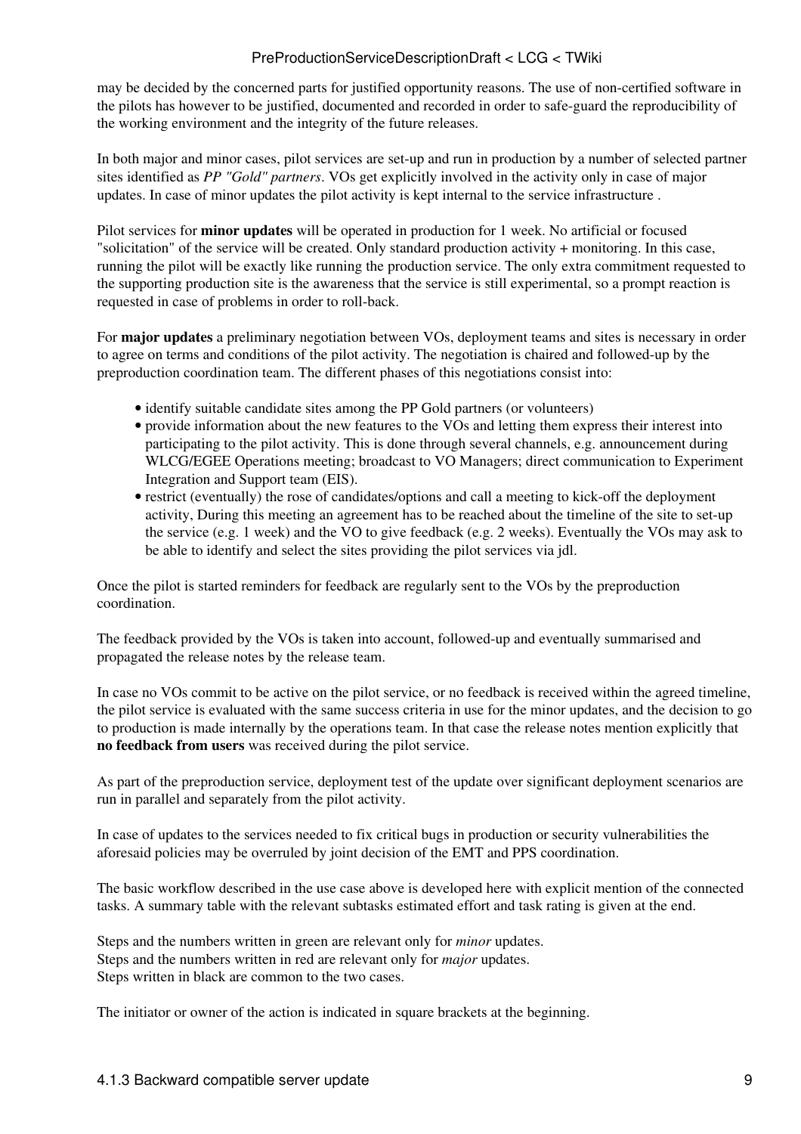may be decided by the concerned parts for justified opportunity reasons. The use of non-certified software in the pilots has however to be justified, documented and recorded in order to safe-guard the reproducibility of the working environment and the integrity of the future releases.

In both major and minor cases, pilot services are set-up and run in production by a number of selected partner sites identified as *PP "Gold" partners*. VOs get explicitly involved in the activity only in case of major updates. In case of minor updates the pilot activity is kept internal to the service infrastructure .

Pilot services for **minor updates** will be operated in production for 1 week. No artificial or focused "solicitation" of the service will be created. Only standard production activity + monitoring. In this case, running the pilot will be exactly like running the production service. The only extra commitment requested to the supporting production site is the awareness that the service is still experimental, so a prompt reaction is requested in case of problems in order to roll-back.

For **major updates** a preliminary negotiation between VOs, deployment teams and sites is necessary in order to agree on terms and conditions of the pilot activity. The negotiation is chaired and followed-up by the preproduction coordination team. The different phases of this negotiations consist into:

- identify suitable candidate sites among the PP Gold partners (or volunteers)
- provide information about the new features to the VOs and letting them express their interest into participating to the pilot activity. This is done through several channels, e.g. announcement during WLCG/EGEE Operations meeting; broadcast to VO Managers; direct communication to Experiment Integration and Support team (EIS).
- restrict (eventually) the rose of candidates/options and call a meeting to kick-off the deployment activity, During this meeting an agreement has to be reached about the timeline of the site to set-up the service (e.g. 1 week) and the VO to give feedback (e.g. 2 weeks). Eventually the VOs may ask to be able to identify and select the sites providing the pilot services via jdl.

Once the pilot is started reminders for feedback are regularly sent to the VOs by the preproduction coordination.

The feedback provided by the VOs is taken into account, followed-up and eventually summarised and propagated the release notes by the release team.

In case no VOs commit to be active on the pilot service, or no feedback is received within the agreed timeline, the pilot service is evaluated with the same success criteria in use for the minor updates, and the decision to go to production is made internally by the operations team. In that case the release notes mention explicitly that **no feedback from users** was received during the pilot service.

As part of the preproduction service, deployment test of the update over significant deployment scenarios are run in parallel and separately from the pilot activity.

In case of updates to the services needed to fix critical bugs in production or security vulnerabilities the aforesaid policies may be overruled by joint decision of the EMT and PPS coordination.

The basic workflow described in the use case above is developed here with explicit mention of the connected tasks. A summary table with the relevant subtasks estimated effort and task rating is given at the end.

Steps and the numbers written in green are relevant only for *minor* updates. Steps and the numbers written in red are relevant only for *major* updates. Steps written in black are common to the two cases.

The initiator or owner of the action is indicated in square brackets at the beginning.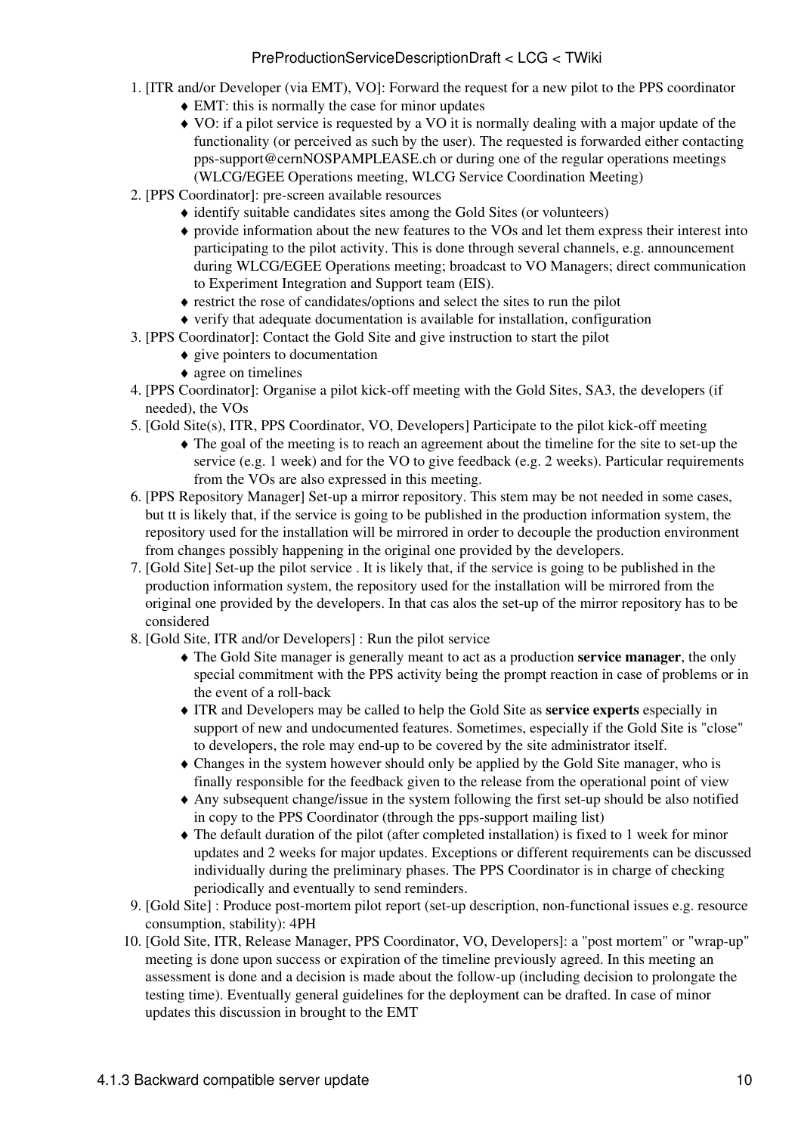- 1. [ITR and/or Developer (via EMT), VO]: Forward the request for a new pilot to the PPS coordinator
	- $\triangle$  EMT: this is normally the case for minor updates
	- VO: if a pilot service is requested by a VO it is normally dealing with a major update of the ♦ functionality (or perceived as such by the user). The requested is forwarded either contacting [pps-support@cernNOSPAMPLEASE.ch](mailto:pps-support@cernNOSPAMPLEASE.ch) or during one of the regular operations meetings (WLCG/EGEE Operations meeting, WLCG Service Coordination Meeting)
- 2. [PPS Coordinator]: pre-screen available resources
	- ♦ identify suitable candidates sites among the Gold Sites (or volunteers)
	- provide information about the new features to the VOs and let them express their interest into ♦ participating to the pilot activity. This is done through several channels, e.g. announcement during WLCG/EGEE Operations meeting; broadcast to VO Managers; direct communication to Experiment Integration and Support team (EIS).
	- ♦ restrict the rose of candidates/options and select the sites to run the pilot
	- ♦ verify that adequate documentation is available for installation, configuration
- [PPS Coordinator]: Contact the Gold Site and give instruction to start the pilot 3.
	- ♦ give pointers to documentation
	- ♦ agree on timelines
- 4. [PPS Coordinator]: Organise a pilot kick-off meeting with the Gold Sites, SA3, the developers (if needed), the VOs
- 5. [Gold Site(s), ITR, PPS Coordinator, VO, Developers] Participate to the pilot kick-off meeting
	- The goal of the meeting is to reach an agreement about the timeline for the site to set-up the ♦ service (e.g. 1 week) and for the VO to give feedback (e.g. 2 weeks). Particular requirements from the VOs are also expressed in this meeting.
- 6. [PPS Repository Manager] Set-up a mirror repository. This stem may be not needed in some cases, but tt is likely that, if the service is going to be published in the production information system, the repository used for the installation will be mirrored in order to decouple the production environment from changes possibly happening in the original one provided by the developers.
- 7. [Gold Site] Set-up the pilot service . It is likely that, if the service is going to be published in the production information system, the repository used for the installation will be mirrored from the original one provided by the developers. In that cas alos the set-up of the mirror repository has to be considered
- 8. [Gold Site, ITR and/or Developers] : Run the pilot service
	- The Gold Site manager is generally meant to act as a production **service manager**, the only ♦ special commitment with the PPS activity being the prompt reaction in case of problems or in the event of a roll-back
	- ITR and Developers may be called to help the Gold Site as **service experts** especially in ♦ support of new and undocumented features. Sometimes, especially if the Gold Site is "close" to developers, the role may end-up to be covered by the site administrator itself.
	- Changes in the system however should only be applied by the Gold Site manager, who is ♦ finally responsible for the feedback given to the release from the operational point of view
	- Any subsequent change/issue in the system following the first set-up should be also notified ♦ in copy to the PPS Coordinator (through the pps-support mailing list)
	- The default duration of the pilot (after completed installation) is fixed to 1 week for minor ♦ updates and 2 weeks for major updates. Exceptions or different requirements can be discussed individually during the preliminary phases. The PPS Coordinator is in charge of checking periodically and eventually to send reminders.
- 9. [Gold Site] : Produce post-mortem pilot report (set-up description, non-functional issues e.g. resource consumption, stability): 4PH
- 10. [Gold Site, ITR, Release Manager, PPS Coordinator, VO, Developers]: a "post mortem" or "wrap-up" meeting is done upon success or expiration of the timeline previously agreed. In this meeting an assessment is done and a decision is made about the follow-up (including decision to prolongate the testing time). Eventually general guidelines for the deployment can be drafted. In case of minor updates this discussion in brought to the EMT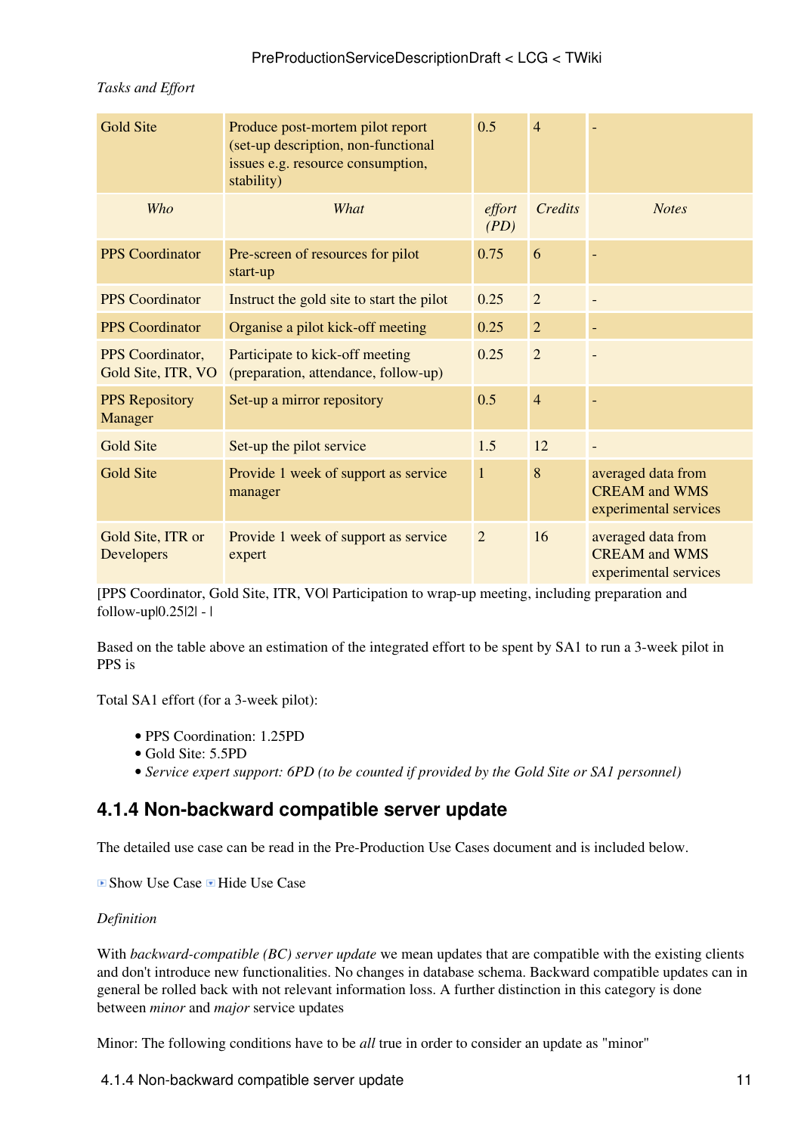| <b>Gold Site</b>                       | Produce post-mortem pilot report<br>(set-up description, non-functional<br>issues e.g. resource consumption,<br>stability) | 0.5            | $\overline{4}$ |                                                                     |  |
|----------------------------------------|----------------------------------------------------------------------------------------------------------------------------|----------------|----------------|---------------------------------------------------------------------|--|
| Who                                    | What                                                                                                                       | effort<br>(PD) | Credits        | <b>Notes</b>                                                        |  |
| <b>PPS</b> Coordinator                 | Pre-screen of resources for pilot<br>start-up                                                                              | 0.75           | 6              |                                                                     |  |
| <b>PPS</b> Coordinator                 | Instruct the gold site to start the pilot                                                                                  | 0.25           | $\overline{2}$ |                                                                     |  |
| <b>PPS</b> Coordinator                 | Organise a pilot kick-off meeting                                                                                          | 0.25           | $\overline{2}$ | $\qquad \qquad -$                                                   |  |
| PPS Coordinator,<br>Gold Site, ITR, VO | Participate to kick-off meeting<br>(preparation, attendance, follow-up)                                                    | 0.25           | $\overline{2}$ |                                                                     |  |
| <b>PPS</b> Repository<br>Manager       | Set-up a mirror repository                                                                                                 | 0.5            | $\overline{4}$ |                                                                     |  |
| Gold Site                              | Set-up the pilot service                                                                                                   | 1.5            | 12             |                                                                     |  |
| <b>Gold Site</b>                       | Provide 1 week of support as service<br>manager                                                                            | $\mathbf{1}$   | 8              | averaged data from<br><b>CREAM</b> and WMS<br>experimental services |  |
| Gold Site, ITR or<br>Developers        | Provide 1 week of support as service<br>expert                                                                             | $\overline{2}$ | 16             | averaged data from<br><b>CREAM</b> and WMS<br>experimental services |  |

#### *Tasks and Effort*

[PPS Coordinator, Gold Site, ITR, VO| Participation to wrap-up meeting, including preparation and follow-up|0.25|2| - |

Based on the table above an estimation of the integrated effort to be spent by SA1 to run a 3-week pilot in PPS is

Total SA1 effort (for a 3-week pilot):

- PPS Coordination: 1.25PD
- Gold Site: 5.5PD
- *Service expert support: 6PD (to be counted if provided by the Gold Site or SA1 personnel)*

### <span id="page-11-0"></span>**4.1.4 Non-backward compatible server update**

The detailed use case can be read in the [Pre-Production Use Cases](https://twiki.cern.ch/twiki/bin/view/LCG/PreProductionUseCases) document and is included below.

 $\Box$  Show Use Case  $\Box$  Hide Use Case

#### *Definition*

With *backward-compatible (BC) server update* we mean updates that are compatible with the existing clients and don't introduce new functionalities. No changes in database schema. Backward compatible updates can in general be rolled back with not relevant information loss. A further distinction in this category is done between *minor* and *major* service updates

Minor: The following conditions have to be *all* true in order to consider an update as "minor"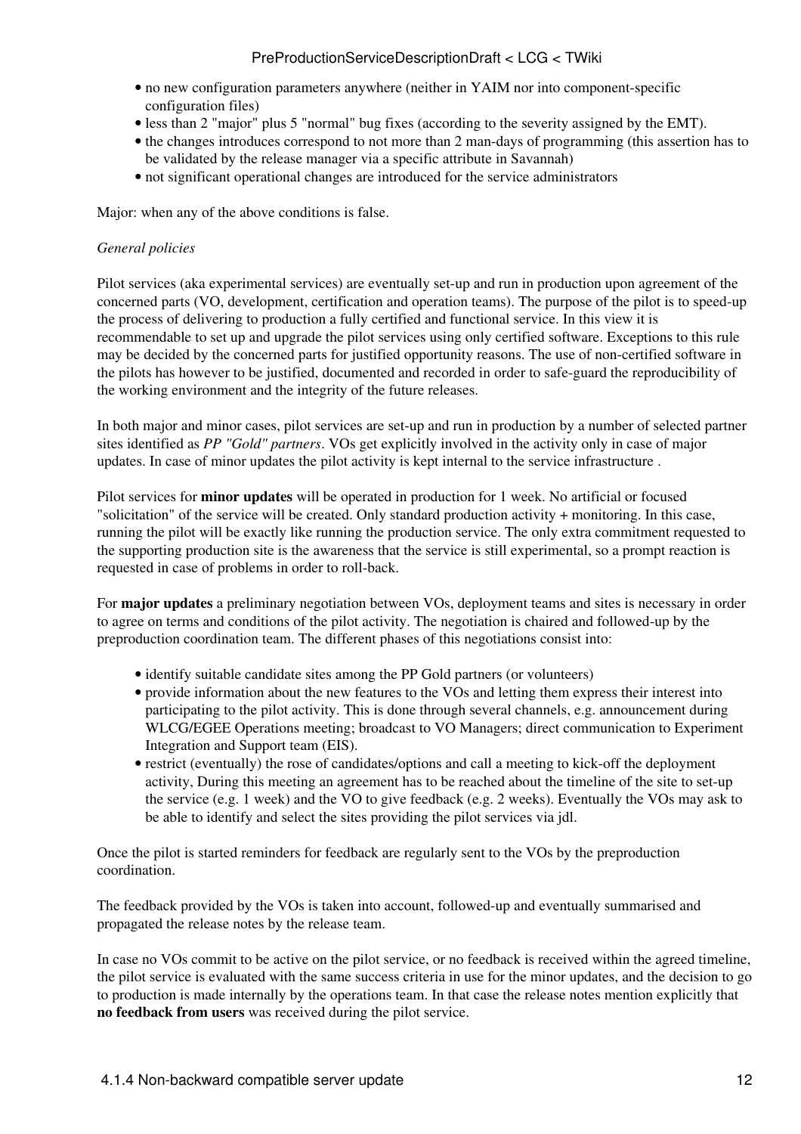- no new configuration parameters anywhere (neither in YAIM nor into component-specific configuration files)
- less than 2 "major" plus 5 "normal" bug fixes (according to the severity assigned by the EMT).
- the changes introduces correspond to not more than 2 man-days of programming (this assertion has to be validated by the release manager via a specific attribute in Savannah)
- not significant operational changes are introduced for the service administrators

Major: when any of the above conditions is false.

#### *General policies*

Pilot services (aka experimental services) are eventually set-up and run in production upon agreement of the concerned parts (VO, development, certification and operation teams). The purpose of the pilot is to speed-up the process of delivering to production a fully certified and functional service. In this view it is recommendable to set up and upgrade the pilot services using only certified software. Exceptions to this rule may be decided by the concerned parts for justified opportunity reasons. The use of non-certified software in the pilots has however to be justified, documented and recorded in order to safe-guard the reproducibility of the working environment and the integrity of the future releases.

In both major and minor cases, pilot services are set-up and run in production by a number of selected partner sites identified as *PP "Gold" partners*. VOs get explicitly involved in the activity only in case of major updates. In case of minor updates the pilot activity is kept internal to the service infrastructure .

Pilot services for **minor updates** will be operated in production for 1 week. No artificial or focused "solicitation" of the service will be created. Only standard production activity + monitoring. In this case, running the pilot will be exactly like running the production service. The only extra commitment requested to the supporting production site is the awareness that the service is still experimental, so a prompt reaction is requested in case of problems in order to roll-back.

For **major updates** a preliminary negotiation between VOs, deployment teams and sites is necessary in order to agree on terms and conditions of the pilot activity. The negotiation is chaired and followed-up by the preproduction coordination team. The different phases of this negotiations consist into:

- identify suitable candidate sites among the PP Gold partners (or volunteers)
- provide information about the new features to the VOs and letting them express their interest into participating to the pilot activity. This is done through several channels, e.g. announcement during WLCG/EGEE Operations meeting; broadcast to VO Managers; direct communication to Experiment Integration and Support team (EIS).
- restrict (eventually) the rose of candidates/options and call a meeting to kick-off the deployment activity, During this meeting an agreement has to be reached about the timeline of the site to set-up the service (e.g. 1 week) and the VO to give feedback (e.g. 2 weeks). Eventually the VOs may ask to be able to identify and select the sites providing the pilot services via jdl.

Once the pilot is started reminders for feedback are regularly sent to the VOs by the preproduction coordination.

The feedback provided by the VOs is taken into account, followed-up and eventually summarised and propagated the release notes by the release team.

In case no VOs commit to be active on the pilot service, or no feedback is received within the agreed timeline, the pilot service is evaluated with the same success criteria in use for the minor updates, and the decision to go to production is made internally by the operations team. In that case the release notes mention explicitly that **no feedback from users** was received during the pilot service.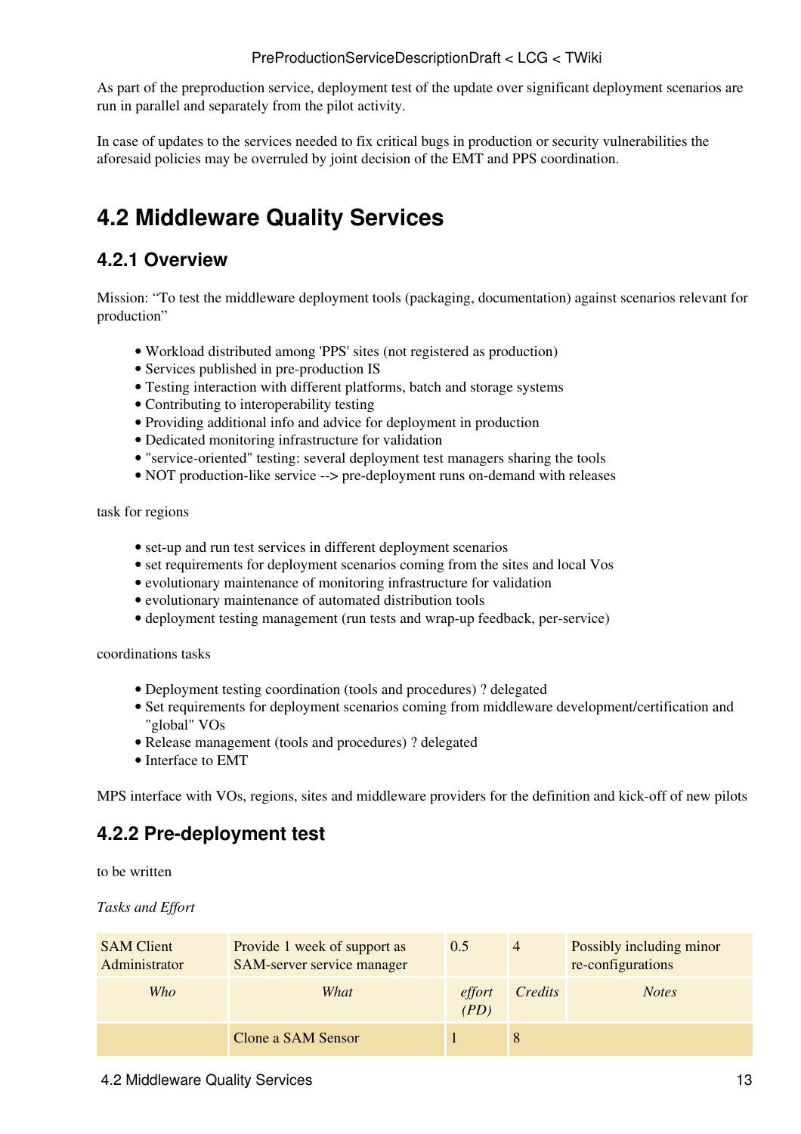As part of the preproduction service, deployment test of the update over significant deployment scenarios are run in parallel and separately from the pilot activity.

In case of updates to the services needed to fix critical bugs in production or security vulnerabilities the aforesaid policies may be overruled by joint decision of the EMT and PPS coordination.

## <span id="page-13-0"></span>**4.2 Middleware Quality Services**

### <span id="page-13-1"></span>**4.2.1 Overview**

Mission: "To test the middleware deployment tools (packaging, documentation) against scenarios relevant for production"

- Workload distributed among 'PPS' sites (not registered as production)
- Services published in pre-production IS
- Testing interaction with different platforms, batch and storage systems
- Contributing to interoperability testing
- Providing additional info and advice for deployment in production
- Dedicated monitoring infrastructure for validation
- "service-oriented" testing: several deployment test managers sharing the tools
- NOT production-like service --> pre-deployment runs on-demand with releases

task for regions

- set-up and run test services in different deployment scenarios
- set requirements for deployment scenarios coming from the sites and local Vos
- evolutionary maintenance of monitoring infrastructure for validation
- evolutionary maintenance of automated distribution tools
- deployment testing management (run tests and wrap-up feedback, per-service)

coordinations tasks

- Deployment testing coordination (tools and procedures) ? delegated
- Set requirements for deployment scenarios coming from middleware development/certification and "global" VOs
- Release management (tools and procedures) ? delegated
- Interface to EMT

MPS interface with VOs, regions, sites and middleware providers for the definition and kick-off of new pilots

### <span id="page-13-2"></span>**4.2.2 Pre-deployment test**

to be written

*Tasks and Effort*

| <b>SAM Client</b><br>Administrator | Provide 1 week of support as<br>SAM-server service manager | 0.5            | $\overline{4}$ | Possibly including minor<br>re-configurations |
|------------------------------------|------------------------------------------------------------|----------------|----------------|-----------------------------------------------|
| Who                                | What                                                       | effort<br>(PD) | Credits        | <b>Notes</b>                                  |
|                                    | Clone a SAM Sensor                                         |                | 8              |                                               |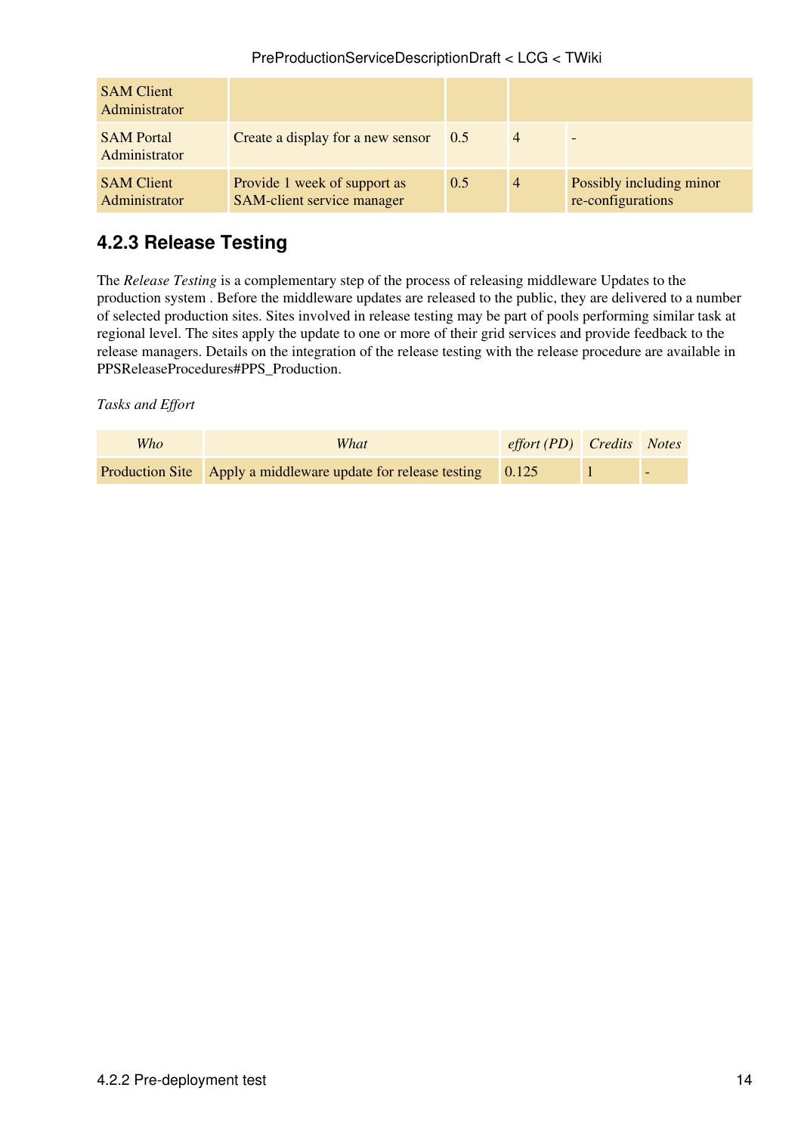| <b>SAM Client</b><br>Administrator |                                                            |     |                |                                               |
|------------------------------------|------------------------------------------------------------|-----|----------------|-----------------------------------------------|
| <b>SAM Portal</b><br>Administrator | Create a display for a new sensor                          | 0.5 | $\overline{4}$ | $\overline{\phantom{0}}$                      |
| <b>SAM Client</b><br>Administrator | Provide 1 week of support as<br>SAM-client service manager | 0.5 | $\overline{4}$ | Possibly including minor<br>re-configurations |

### <span id="page-14-0"></span>**4.2.3 Release Testing**

The *Release Testing* is a complementary step of the [process of releasing middleware Updates to the](https://twiki.cern.ch/twiki/bin/view/LCG/PPSReleaseProcedures#PPS_Production) [production system](https://twiki.cern.ch/twiki/bin/view/LCG/PPSReleaseProcedures#PPS_Production) . Before the middleware updates are released to the public, they are delivered to a number of selected production sites. Sites involved in release testing may be part of pools performing similar task at regional level. The sites apply the update to one or more of their grid services and provide feedback to the release managers. Details on the integration of the release testing with the release procedure are available in [PPSReleaseProcedures#PPS\\_Production](https://twiki.cern.ch/twiki/bin/view/LCG/PPSReleaseProcedures#PPS_Production).

*Tasks and Effort*

| Who | What                                                                | $effort (PD)$ <i>Credits Notes</i> |                          |
|-----|---------------------------------------------------------------------|------------------------------------|--------------------------|
|     | Production Site Apply a middleware update for release testing 0.125 |                                    | $\overline{\phantom{0}}$ |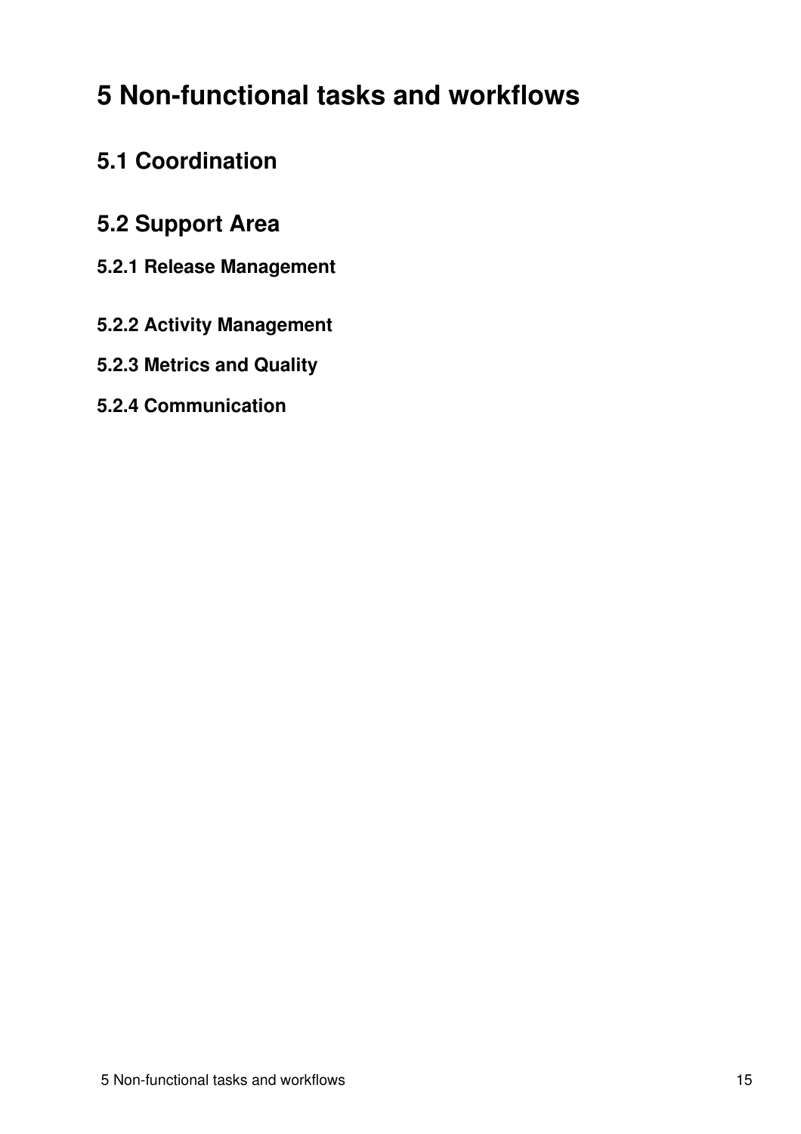## <span id="page-15-0"></span>**5 Non-functional tasks and workflows**

## <span id="page-15-1"></span>**5.1 Coordination**

## <span id="page-15-2"></span>**5.2 Support Area**

- <span id="page-15-3"></span>**5.2.1 Release Management**
- <span id="page-15-4"></span>**5.2.2 Activity Management**
- <span id="page-15-5"></span>**5.2.3 Metrics and Quality**
- <span id="page-15-6"></span>**5.2.4 Communication**